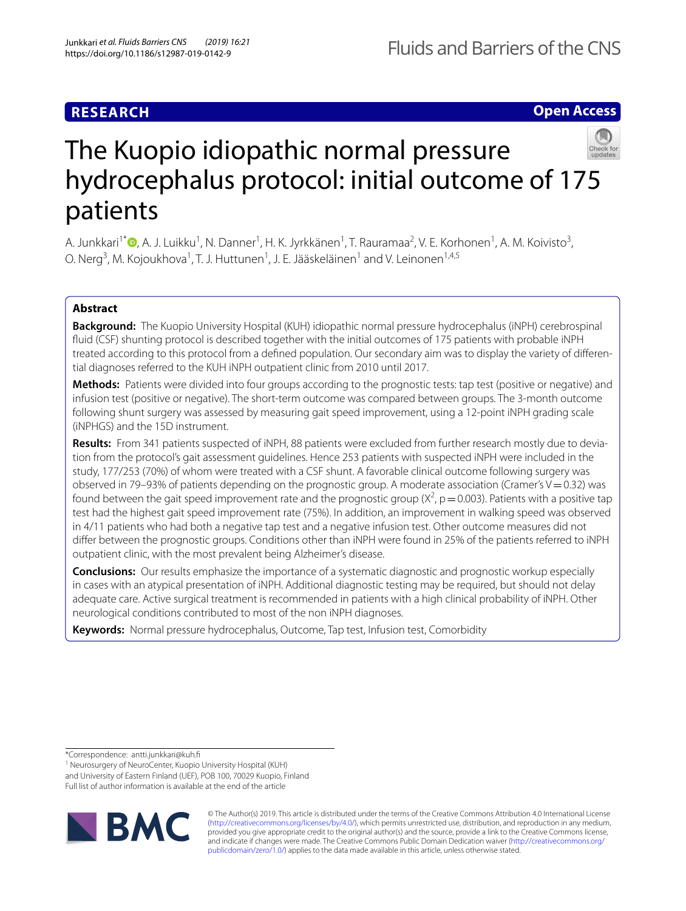## **Open Access**



# The Kuopio idiopathic normal pressure hydrocephalus protocol: initial outcome of 175 patients

A. Junkkari<sup>1\*</sup>®[,](http://orcid.org/0000-0001-8715-1749) A. J. Luikku<sup>1</sup>, N. Danner<sup>1</sup>, H. K. Jyrkkänen<sup>1</sup>, T. Rauramaa<sup>2</sup>, V. E. Korhonen<sup>1</sup>, A. M. Koivisto<sup>3</sup>, O. Nerg<sup>3</sup>, M. Kojoukhova<sup>1</sup>, T. J. Huttunen<sup>1</sup>, J. E. Jääskeläinen<sup>1</sup> and V. Leinonen<sup>1,4,5</sup>

## **Abstract**

**Background:** The Kuopio University Hospital (KUH) idiopathic normal pressure hydrocephalus (iNPH) cerebrospinal fluid (CSF) shunting protocol is described together with the initial outcomes of 175 patients with probable iNPH treated according to this protocol from a defned population. Our secondary aim was to display the variety of diferential diagnoses referred to the KUH iNPH outpatient clinic from 2010 until 2017.

**Methods:** Patients were divided into four groups according to the prognostic tests: tap test (positive or negative) and infusion test (positive or negative). The short-term outcome was compared between groups. The 3-month outcome following shunt surgery was assessed by measuring gait speed improvement, using a 12-point iNPH grading scale (iNPHGS) and the 15D instrument.

**Results:** From 341 patients suspected of iNPH, 88 patients were excluded from further research mostly due to deviation from the protocol's gait assessment guidelines. Hence 253 patients with suspected iNPH were included in the study, 177/253 (70%) of whom were treated with a CSF shunt. A favorable clinical outcome following surgery was observed in 79–93% of patients depending on the prognostic group. A moderate association (Cramer's  $V=0.32$ ) was found between the gait speed improvement rate and the prognostic group ( $X^2$ , p = 0.003). Patients with a positive tap test had the highest gait speed improvement rate (75%). In addition, an improvement in walking speed was observed in 4/11 patients who had both a negative tap test and a negative infusion test. Other outcome measures did not difer between the prognostic groups. Conditions other than iNPH were found in 25% of the patients referred to iNPH outpatient clinic, with the most prevalent being Alzheimer's disease.

**Conclusions:** Our results emphasize the importance of a systematic diagnostic and prognostic workup especially in cases with an atypical presentation of iNPH. Additional diagnostic testing may be required, but should not delay adequate care. Active surgical treatment is recommended in patients with a high clinical probability of iNPH. Other neurological conditions contributed to most of the non iNPH diagnoses.

**Keywords:** Normal pressure hydrocephalus, Outcome, Tap test, Infusion test, Comorbidity

\*Correspondence: antti.junkkari@kuh.f

<sup>1</sup> Neurosurgery of NeuroCenter, Kuopio University Hospital (KUH) and University of Eastern Finland (UEF), POB 100, 70029 Kuopio, Finland Full list of author information is available at the end of the article



© The Author(s) 2019. This article is distributed under the terms of the Creative Commons Attribution 4.0 International License [\(http://creativecommons.org/licenses/by/4.0/\)](http://creativecommons.org/licenses/by/4.0/), which permits unrestricted use, distribution, and reproduction in any medium, provided you give appropriate credit to the original author(s) and the source, provide a link to the Creative Commons license, and indicate if changes were made. The Creative Commons Public Domain Dedication waiver ([http://creativecommons.org/](http://creativecommons.org/publicdomain/zero/1.0/) [publicdomain/zero/1.0/](http://creativecommons.org/publicdomain/zero/1.0/)) applies to the data made available in this article, unless otherwise stated.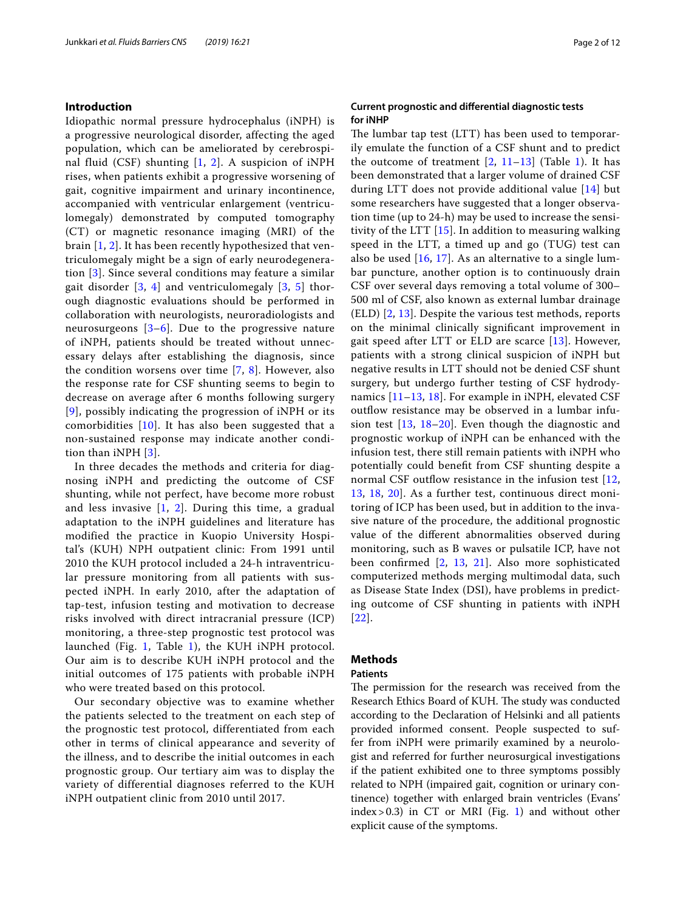#### **Introduction**

Idiopathic normal pressure hydrocephalus (iNPH) is a progressive neurological disorder, affecting the aged population, which can be ameliorated by cerebrospinal fluid (CSF) shunting  $[1, 2]$  $[1, 2]$  $[1, 2]$  $[1, 2]$  $[1, 2]$ . A suspicion of iNPH rises, when patients exhibit a progressive worsening of gait, cognitive impairment and urinary incontinence, accompanied with ventricular enlargement (ventriculomegaly) demonstrated by computed tomography (CT) or magnetic resonance imaging (MRI) of the brain [[1,](#page-11-0) [2\]](#page-11-1). It has been recently hypothesized that ventriculomegaly might be a sign of early neurodegeneration [\[3](#page-11-2)]. Since several conditions may feature a similar gait disorder  $[3, 4]$  $[3, 4]$  $[3, 4]$  $[3, 4]$  $[3, 4]$  and ventriculomegaly  $[3, 5]$  $[3, 5]$  thorough diagnostic evaluations should be performed in collaboration with neurologists, neuroradiologists and neurosurgeons [[3](#page-11-2)[–6](#page-11-5)]. Due to the progressive nature of iNPH, patients should be treated without unnecessary delays after establishing the diagnosis, since the condition worsens over time [[7](#page-11-6), [8](#page-11-7)]. However, also the response rate for CSF shunting seems to begin to decrease on average after 6 months following surgery [[9](#page-11-8)], possibly indicating the progression of iNPH or its comorbidities [\[10\]](#page-11-9). It has also been suggested that a non-sustained response may indicate another condition than iNPH [\[3](#page-11-2)].

In three decades the methods and criteria for diagnosing iNPH and predicting the outcome of CSF shunting, while not perfect, have become more robust and less invasive  $[1, 2]$  $[1, 2]$  $[1, 2]$  $[1, 2]$ . During this time, a gradual adaptation to the iNPH guidelines and literature has modified the practice in Kuopio University Hospital's (KUH) NPH outpatient clinic: From 1991 until 2010 the KUH protocol included a 24-h intraventricular pressure monitoring from all patients with suspected iNPH. In early 2010, after the adaptation of tap-test, infusion testing and motivation to decrease risks involved with direct intracranial pressure (ICP) monitoring, a three-step prognostic test protocol was launched (Fig. [1,](#page-2-0) Table [1\)](#page-3-0), the KUH iNPH protocol. Our aim is to describe KUH iNPH protocol and the initial outcomes of 175 patients with probable iNPH who were treated based on this protocol.

Our secondary objective was to examine whether the patients selected to the treatment on each step of the prognostic test protocol, differentiated from each other in terms of clinical appearance and severity of the illness, and to describe the initial outcomes in each prognostic group. Our tertiary aim was to display the variety of differential diagnoses referred to the KUH iNPH outpatient clinic from 2010 until 2017.

#### **Current prognostic and diferential diagnostic tests for iNHP**

The lumbar tap test (LTT) has been used to temporarily emulate the function of a CSF shunt and to predict the outcome of treatment  $[2, 11-13]$  $[2, 11-13]$  $[2, 11-13]$  $[2, 11-13]$  (Table [1](#page-3-0)). It has been demonstrated that a larger volume of drained CSF during LTT does not provide additional value [[14\]](#page-11-12) but some researchers have suggested that a longer observation time (up to 24-h) may be used to increase the sensitivity of the LTT [\[15](#page-11-13)]. In addition to measuring walking speed in the LTT, a timed up and go (TUG) test can also be used [[16](#page-11-14), [17\]](#page-11-15). As an alternative to a single lumbar puncture, another option is to continuously drain CSF over several days removing a total volume of 300– 500 ml of CSF, also known as external lumbar drainage (ELD) [[2](#page-11-1), [13](#page-11-11)]. Despite the various test methods, reports on the minimal clinically signifcant improvement in gait speed after LTT or ELD are scarce [[13](#page-11-11)]. However, patients with a strong clinical suspicion of iNPH but negative results in LTT should not be denied CSF shunt surgery, but undergo further testing of CSF hydrodynamics [[11–](#page-11-10)[13,](#page-11-11) [18\]](#page-11-16). For example in iNPH, elevated CSF outflow resistance may be observed in a lumbar infusion test [[13,](#page-11-11) [18–](#page-11-16)[20](#page-11-17)]. Even though the diagnostic and prognostic workup of iNPH can be enhanced with the infusion test, there still remain patients with iNPH who potentially could beneft from CSF shunting despite a normal CSF outflow resistance in the infusion test  $[12, 12]$  $[12, 12]$ [13,](#page-11-11) [18,](#page-11-16) [20\]](#page-11-17). As a further test, continuous direct monitoring of ICP has been used, but in addition to the invasive nature of the procedure, the additional prognostic value of the diferent abnormalities observed during monitoring, such as B waves or pulsatile ICP, have not been confrmed [[2,](#page-11-1) [13,](#page-11-11) [21](#page-11-19)]. Also more sophisticated computerized methods merging multimodal data, such as Disease State Index (DSI), have problems in predicting outcome of CSF shunting in patients with iNPH [[22](#page-11-20)].

#### **Methods**

#### **Patients**

The permission for the research was received from the Research Ethics Board of KUH. The study was conducted according to the Declaration of Helsinki and all patients provided informed consent. People suspected to suffer from iNPH were primarily examined by a neurologist and referred for further neurosurgical investigations if the patient exhibited one to three symptoms possibly related to NPH (impaired gait, cognition or urinary continence) together with enlarged brain ventricles (Evans' index > 0.3) in CT or MRI (Fig. [1\)](#page-2-0) and without other explicit cause of the symptoms.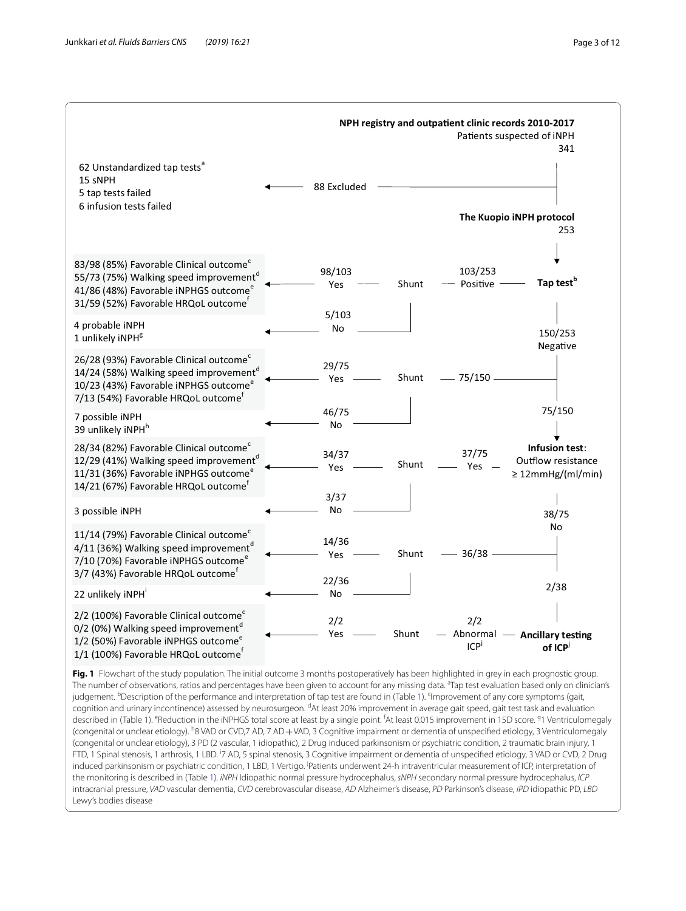

<span id="page-2-0"></span>**Fig. 1** Flowchart of the study population. The initial outcome 3 months postoperatively has been highlighted in grey in each prognostic group. The number of observations, ratios and percentages have been given to account for any missing data. <sup>a</sup>Tap test evaluation based only on clinician's judgement. <sup>b</sup>Description of the performance and interpretation of tap test are found in (Table [1](#page-3-0)). <sup>c</sup>Improvement of any core symptoms (gait, cognition and urinary incontinence) assessed by neurosurgeon. <sup>d</sup>At least 20% improvement in average gait speed, gait test task and evaluation described in (Table [1](#page-3-0)). <sup>e</sup>Reduction in the iNPHGS total score at least by a single point. <sup>f</sup>At least 0.015 improvement in 15D score. <sup>9</sup>1 Ventriculomegaly (congenital or unclear etiology). <sup>h</sup>8 VAD or CVD,7 AD, 7 AD + VAD, 3 Cognitive impairment or dementia of unspecified etiology, 3 Ventriculomegaly (congenital or unclear etiology), 3 PD (2 vascular, 1 idiopathic), 2 Drug induced parkinsonism or psychiatric condition, 2 traumatic brain injury, 1 FTD, 1 Spinal stenosis, 1 arthrosis, 1 LBD. <sup>i</sup>7 AD, 5 spinal stenosis, 3 Cognitive impairment or dementia of unspecified etiology, 3 VAD or CVD, 2 Drug induced parkinsonism or psychiatric condition, 1 LBD, 1 Vertigo. <sup>jp</sup>atients underwent 24-h intraventricular measurement of ICP, interpretation of the monitoring is described in (Table [1\)](#page-3-0). *iNPH* Idiopathic normal pressure hydrocephalus, *sNPH* secondary normal pressure hydrocephalus, *ICP* intracranial pressure, *VAD* vascular dementia, *CVD* cerebrovascular disease, *AD* Alzheimer's disease, *PD* Parkinson's disease, *iPD* idiopathic PD, *LBD* Lewy's bodies disease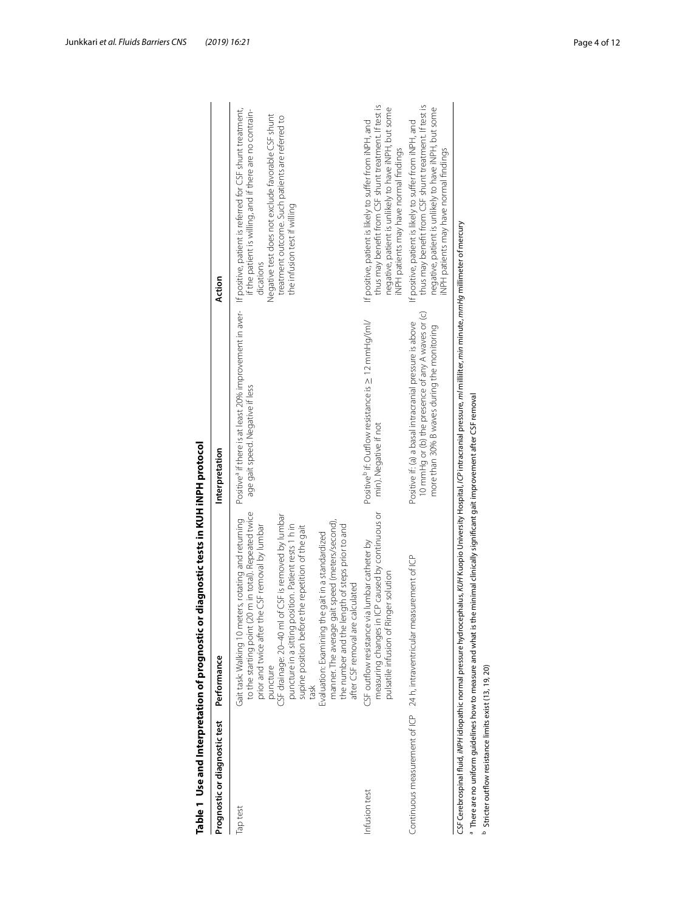| Prognostic or diagnostic test                         | Performance                                                                                                                                                                                                                                                                                                                                                                                                                                                                                                                                                     | Interpretation                                                                                                                                                                           | Action                                                                                                                                                                                                                                                                       |
|-------------------------------------------------------|-----------------------------------------------------------------------------------------------------------------------------------------------------------------------------------------------------------------------------------------------------------------------------------------------------------------------------------------------------------------------------------------------------------------------------------------------------------------------------------------------------------------------------------------------------------------|------------------------------------------------------------------------------------------------------------------------------------------------------------------------------------------|------------------------------------------------------------------------------------------------------------------------------------------------------------------------------------------------------------------------------------------------------------------------------|
| Tap test                                              | to the starting point (20 m in total). Repeated twice<br>of CSF is removed by lumbar<br>eters, rotating and returning<br>manner. The average gait speed (meters/second),<br>puncture in a sitting position. Patient rests 1 h in<br>the number and the length of steps prior to and<br>the CSF removal by lumbar<br>supine position before the repetition of the gait<br>Evaluation: Examining the gait in a standardized<br>after CSF removal are calculated<br>CSF drainage: 20-40 ml<br>Gait task: Walking 10 m<br>prior and twice after<br>puncture<br>task | Positive <sup>a</sup> if there is at least 20% improvement in aver-<br>age gait speed. Negative if less                                                                                  | If positive, patient is referred for CSF shunt treatment,<br>if the patient is willing, and if there are no contrain-<br>Negative test does not exclude favorable CSF shunt<br>treatment outcome. Such patients are referred to<br>the infusion test if willing<br>dications |
| Infusion test                                         | measuring changes in ICP caused by continuous or<br>CSF outflow resistance via lumbar catheter by<br>pulsatile infusion of Ringer solution                                                                                                                                                                                                                                                                                                                                                                                                                      | Positive <sup>b</sup> if: Outflow resistance is $\geq$ 12 mmHg/(ml/<br>min). Negative if not                                                                                             | thus may benefit from CSF shunt treatment. If test is<br>negative, patient is unlikely to have iNPH, but some<br>If positive, patient is likely to suffer from iNPH, and<br>iNPH patients may have normal findings                                                           |
|                                                       | Continuous measurement of ICP 24 h, intraventricular measurement of ICP                                                                                                                                                                                                                                                                                                                                                                                                                                                                                         | 10 mmHq or (b) the presence of any A waves or (c)<br>Positive if: (a) a basal intracranial pressure is above<br>more than 30% B waves during the monitoring                              | thus may benefit from CSF shunt treatment. If test is<br>negative, patient is unlikely to have iNPH, but some<br>If positive, patient is likely to suffer from iNPH, and<br>INPH patients may have normal findings                                                           |
| Stricter outflow resistance limits exist (13, 19, 20) | There are no uniform guidelines how to measure and what is the minimal clinically significant gait improvement after CSF removal                                                                                                                                                                                                                                                                                                                                                                                                                                | CSF Cerebrospinal fluid, iNPH idiopathic normal pressure hydrocephalus, KUH Kuopio University Hospital, (CP intracranial pressure, ml milliliter, min minute, mmHg millimeter of mercury |                                                                                                                                                                                                                                                                              |

<span id="page-3-0"></span>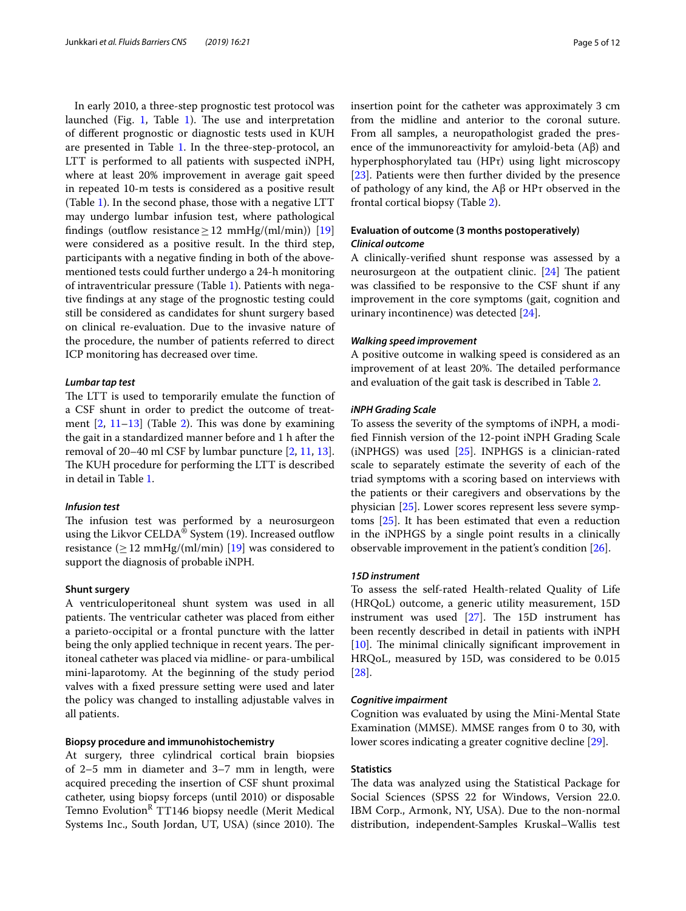In early 2010, a three-step prognostic test protocol was launched (Fig. [1](#page-3-0), Table 1). The use and interpretation of diferent prognostic or diagnostic tests used in KUH are presented in Table [1](#page-3-0). In the three-step-protocol, an LTT is performed to all patients with suspected iNPH, where at least 20% improvement in average gait speed in repeated 10-m tests is considered as a positive result (Table [1\)](#page-3-0). In the second phase, those with a negative LTT may undergo lumbar infusion test, where pathological findings (outflow resistance  $\geq$  12 mmHg/(ml/min)) [[19](#page-11-21)] were considered as a positive result. In the third step, participants with a negative fnding in both of the abovementioned tests could further undergo a 24-h monitoring of intraventricular pressure (Table [1\)](#page-3-0). Patients with negative fndings at any stage of the prognostic testing could still be considered as candidates for shunt surgery based on clinical re-evaluation. Due to the invasive nature of the procedure, the number of patients referred to direct ICP monitoring has decreased over time.

#### *Lumbar tap test*

The LTT is used to temporarily emulate the function of a CSF shunt in order to predict the outcome of treatment  $[2, 11-13]$  $[2, 11-13]$  $[2, 11-13]$  $[2, 11-13]$  $[2, 11-13]$  (Table [2\)](#page-5-0). This was done by examining the gait in a standardized manner before and 1 h after the removal of 20–40 ml CSF by lumbar puncture [\[2,](#page-11-1) [11,](#page-11-10) [13](#page-11-11)]. The KUH procedure for performing the LTT is described in detail in Table [1.](#page-3-0)

#### *Infusion test*

The infusion test was performed by a neurosurgeon using the Likvor CELDA® System (19). Increased outflow resistance  $(\geq 12 \text{ mmHg/(ml/min)} \, [19]$  $(\geq 12 \text{ mmHg/(ml/min)} \, [19]$  $(\geq 12 \text{ mmHg/(ml/min)} \, [19]$  was considered to support the diagnosis of probable iNPH.

#### **Shunt surgery**

A ventriculoperitoneal shunt system was used in all patients. The ventricular catheter was placed from either a parieto-occipital or a frontal puncture with the latter being the only applied technique in recent years. The peritoneal catheter was placed via midline- or para-umbilical mini-laparotomy. At the beginning of the study period valves with a fxed pressure setting were used and later the policy was changed to installing adjustable valves in all patients.

#### **Biopsy procedure and immunohistochemistry**

At surgery, three cylindrical cortical brain biopsies of 2–5 mm in diameter and 3–7 mm in length, were acquired preceding the insertion of CSF shunt proximal catheter, using biopsy forceps (until 2010) or disposable Temno Evolution<sup>R</sup> TT146 biopsy needle (Merit Medical Systems Inc., South Jordan, UT, USA) (since 2010). The insertion point for the catheter was approximately 3 cm from the midline and anterior to the coronal suture. From all samples, a neuropathologist graded the presence of the immunoreactivity for amyloid-beta (Aβ) and hyperphosphorylated tau (HPτ) using light microscopy [[23\]](#page-11-22). Patients were then further divided by the presence of pathology of any kind, the Aβ or HPτ observed in the frontal cortical biopsy (Table [2](#page-5-0)).

#### **Evaluation of outcome (3 months postoperatively)** *Clinical outcome*

A clinically-verifed shunt response was assessed by a neurosurgeon at the outpatient clinic.  $[24]$  The patient was classifed to be responsive to the CSF shunt if any improvement in the core symptoms (gait, cognition and urinary incontinence) was detected [\[24\]](#page-11-23).

#### *Walking speed improvement*

A positive outcome in walking speed is considered as an improvement of at least 20%. The detailed performance and evaluation of the gait task is described in Table [2.](#page-5-0)

#### *iNPH Grading Scale*

To assess the severity of the symptoms of iNPH, a modifed Finnish version of the 12-point iNPH Grading Scale (iNPHGS) was used  $[25]$  $[25]$ . INPHGS is a clinician-rated scale to separately estimate the severity of each of the triad symptoms with a scoring based on interviews with the patients or their caregivers and observations by the physician [[25](#page-11-24)]. Lower scores represent less severe symptoms [\[25](#page-11-24)]. It has been estimated that even a reduction in the iNPHGS by a single point results in a clinically observable improvement in the patient's condition [\[26](#page-11-25)].

#### *15D instrument*

To assess the self-rated Health-related Quality of Life (HRQoL) outcome, a generic utility measurement, 15D instrument was used  $[27]$  $[27]$ . The 15D instrument has been recently described in detail in patients with iNPH [[10\]](#page-11-9). The minimal clinically significant improvement in HRQoL, measured by 15D, was considered to be 0.015 [[28\]](#page-11-27).

#### *Cognitive impairment*

Cognition was evaluated by using the Mini-Mental State Examination (MMSE). MMSE ranges from 0 to 30, with lower scores indicating a greater cognitive decline [\[29\]](#page-11-28).

#### **Statistics**

The data was analyzed using the Statistical Package for Social Sciences (SPSS 22 for Windows, Version 22.0. IBM Corp., Armonk, NY, USA). Due to the non-normal distribution, independent-Samples Kruskal–Wallis test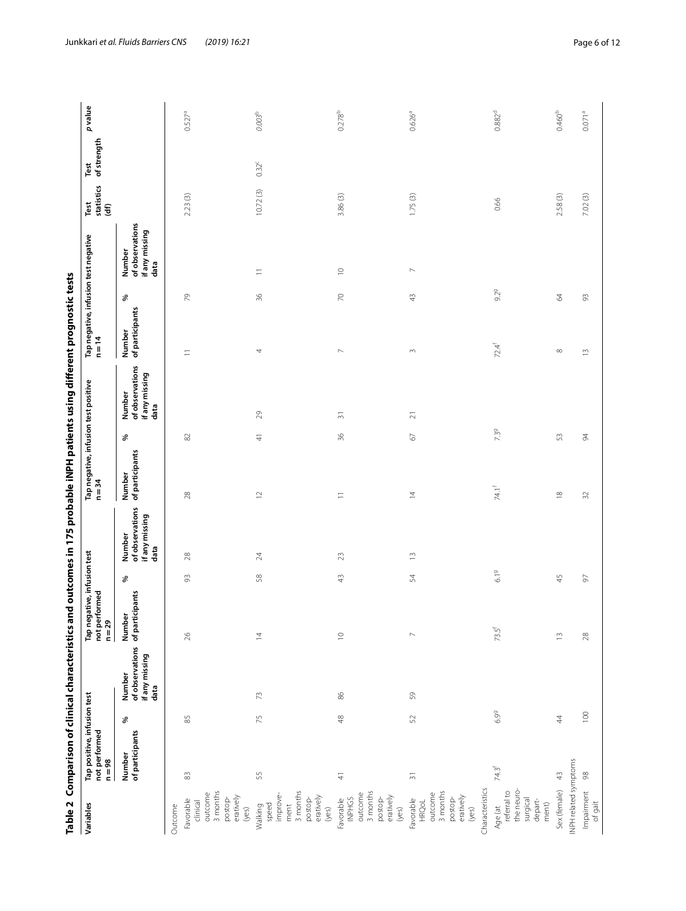<span id="page-5-0"></span>

|                                                                                                      |                                                          |        |                                                                     |                                                          |            |                                                     |                                                  |               | Table 2 Comparison of clinical characteristics and outcomes in 175 probable iNPH patients using different prognostic tests |                                                  |               |                                                     |                            |                     |                    |
|------------------------------------------------------------------------------------------------------|----------------------------------------------------------|--------|---------------------------------------------------------------------|----------------------------------------------------------|------------|-----------------------------------------------------|--------------------------------------------------|---------------|----------------------------------------------------------------------------------------------------------------------------|--------------------------------------------------|---------------|-----------------------------------------------------|----------------------------|---------------------|--------------------|
| Variables                                                                                            | Tap positive, infusion test<br>not performed<br>$n = 98$ |        |                                                                     | Tap negative, infusion test<br>not performed<br>$n = 29$ |            |                                                     | Tap negative, infusion test positive<br>$n = 34$ |               |                                                                                                                            | Tap negative, infusion test negative<br>$n = 14$ |               |                                                     | statistics<br>Test<br>(df) | of strength<br>Test | p value            |
|                                                                                                      | of participants<br>Number                                | ℅      | of observations of participants<br>if any missing<br>Number<br>data | Number                                                   | ℅          | of observations<br>if any missing<br>Number<br>data | of participants<br>Number                        | ℅             | of observations<br>if any missing<br>Number<br>data                                                                        | of participants<br>Number                        | ℅             | of observations<br>if any missing<br>Number<br>data |                            |                     |                    |
| Favorable<br>Outcome                                                                                 | $\stackrel{\sim}{\infty}$                                | $85$   |                                                                     | $\geqslant$                                              | 93         | $28$                                                | $28$                                             | $\rm \approx$ |                                                                                                                            | Ξ                                                | $\mathcal{L}$ |                                                     | 2.23(3)                    |                     | $0.527^{a}$        |
| 3 months<br>outcome<br>eratively<br>postop-<br>clinical<br>(yes)                                     |                                                          |        |                                                                     |                                                          |            |                                                     |                                                  |               |                                                                                                                            |                                                  |               |                                                     |                            |                     |                    |
| 3 months<br>improve-<br>eratively<br>postop-<br>speed<br>ment<br>Walking<br>(yes)                    | 55                                                       | 75     | 73                                                                  | $\overline{4}$                                           | $58\,$     | $\geqslant$                                         | $\supseteq$                                      | $\pm$         | $\overline{5}$                                                                                                             | 4                                                | $36$          | Ξ                                                   | 10.72(3)                   | $0.32^c$            | $0.003^{\rm b}$    |
| 3 months<br>outcome<br>eratively<br>postop-<br>INPHGS<br>Favorable<br>(yes)                          | $\frac{4}{3}$                                            | 48     | $86$                                                                | $\supseteq$                                              | $43$       | $23$                                                | $\equiv$                                         | 36            | $\overline{5}$                                                                                                             | $\sim$                                           | $\gtrsim$     | $\supseteq$                                         | 3.86(3)                    |                     | $0.278^{b}$        |
| Characteristics<br>3 months<br>outcome<br>eratively<br>postop-<br>Favorable<br><b>HRQoL</b><br>(yes) | $\overline{\mathbb{S}}$                                  | 52     | $50$                                                                | $\sim$                                                   | $\,54$     | $\widetilde{\Box}$                                  | $\overline{4}$                                   | $\rm 67$      | $\gtrsim$                                                                                                                  | $\sim$                                           | $43\,$        | $\triangleright$                                    | 1.75(3)                    |                     | $0.626^{a}$        |
| the neuro-<br>referral to<br>surgical<br>depart-<br>ment)<br>Age (at                                 | $74.3$ <sup>f</sup>                                      | 6.99   |                                                                     | $73.5$ <sup>f</sup>                                      | $6.19$     |                                                     | $74.1^{\rm f}$                                   | 7.39          |                                                                                                                            | $72.4$ <sup>f</sup>                              | 9.29          |                                                     | 0.66                       |                     | $0.882^d$          |
| INPH related symptoms<br>Sex (female)                                                                | $\frac{4}{3}$                                            | $44\,$ |                                                                     | $\overline{\phantom{0}}$                                 | $45$       |                                                     | $\approx$                                        | 53            |                                                                                                                            | $\infty$                                         | 2             |                                                     | 2.58(3)                    |                     | 0.460 <sup>b</sup> |
| Impairment<br>of gait                                                                                | $98$                                                     | 100    |                                                                     | $28$                                                     | $\sqrt{6}$ |                                                     | $\Im$                                            | $\beta$       |                                                                                                                            | $\widetilde{\Box}$                               | $93$          |                                                     | 7.02(3)                    |                     | $0.071^{a}$        |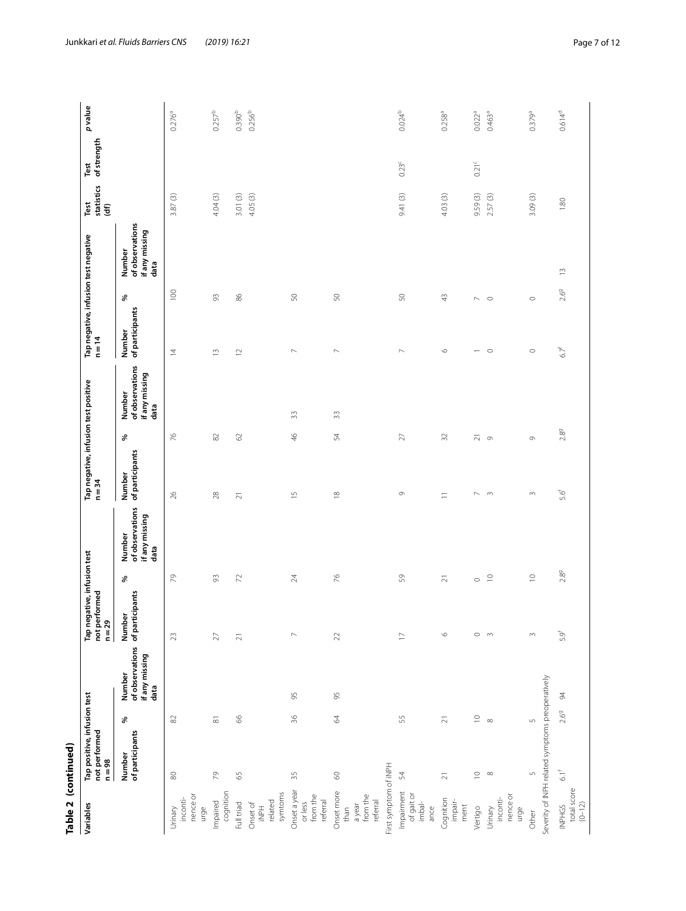| Table 2 (continued)                                         |                                                                      |                     |                                                                     |                                                          |                       |                                                     |                                                  |                   |                                                     |                                                |                            |                                                     |                                      |                     |                            |
|-------------------------------------------------------------|----------------------------------------------------------------------|---------------------|---------------------------------------------------------------------|----------------------------------------------------------|-----------------------|-----------------------------------------------------|--------------------------------------------------|-------------------|-----------------------------------------------------|------------------------------------------------|----------------------------|-----------------------------------------------------|--------------------------------------|---------------------|----------------------------|
| Variables                                                   | Tap positive, infusion test<br>not performed<br>$n = 98$             |                     |                                                                     | Tap negative, infusion test<br>not performed<br>$n = 29$ |                       |                                                     | Tap negative, infusion test positive<br>$n = 34$ |                   |                                                     | Tap negative, infusion test negative<br>$n=14$ |                            |                                                     | statistics<br>Test<br>$\mathfrak{F}$ | of strength<br>Test | p value                    |
|                                                             | of participants<br>Number                                            | ℅                   | of observations of participants<br>if any missing<br>Number<br>data | $\blacksquare$<br>Numbe                                  | శ                     | of observations<br>if any missing<br>Number<br>data | of participants<br>Number                        | శ                 | of observations<br>if any missing<br>Number<br>data | of participants<br>Number                      | శ                          | of observations<br>if any missing<br>Number<br>data |                                      |                     |                            |
| nence or<br>inconti-<br>urge<br>Urinary                     | $\otimes$                                                            | $\approx$           |                                                                     | 23                                                       | 79                    |                                                     | 26                                               | $\frac{1}{6}$     |                                                     | $\overline{4}$                                 | 100                        |                                                     | 3.87(3)                              |                     | $0.276^{a}$                |
| cognition<br>Impaired                                       | P,                                                                   | $\overline{\infty}$ |                                                                     | $\overline{27}$                                          | 93                    |                                                     | 28                                               | 82                |                                                     | $\frac{1}{2}$                                  | 93                         |                                                     | 4.04(3)                              |                     | $0.257^{b}$                |
| symtoms<br>related<br>Full triad<br>Onset of<br><b>HdN!</b> | 59                                                                   | 66                  |                                                                     | $\overline{z}$                                           | $\boldsymbol{\Sigma}$ |                                                     | $\overline{\sim}$                                | 2                 |                                                     | $\supseteq$                                    | 86                         |                                                     | 4.05(3)<br>3.01(3)                   |                     | $0.390^{b}$<br>$0.256^{b}$ |
| Onset a year<br>from the<br>referral<br>or less             | 35                                                                   | 36                  | 95                                                                  | $\mathord{\sim}$                                         | $24\,$                |                                                     | $\frac{5}{2}$                                    | $\frac{4}{6}$     | 33                                                  | $\mathord{\sim}$                               | $50\,$                     |                                                     |                                      |                     |                            |
| Onset more<br>from the<br>referral<br>a year<br>than        | $\odot$                                                              | 64                  | 95                                                                  | $\mathcal{Z}$                                            | $\geq$                |                                                     | $\approx$                                        | 54                | $\approx$                                           | $\scriptstyle\sim$                             | $50\,$                     |                                                     |                                      |                     |                            |
| First symptom of iNPH                                       |                                                                      |                     |                                                                     |                                                          |                       |                                                     |                                                  |                   |                                                     |                                                |                            |                                                     |                                      |                     |                            |
| Impairment<br>of gait or<br>imbal-<br>ance                  | 54                                                                   | 55                  |                                                                     | $\overline{\phantom{0}}$                                 | $59$                  |                                                     | $\circ$                                          | $27\,$            |                                                     | $\mathord{\sim}$                               | $50\,$                     |                                                     | 9.41(3)                              | $0.23^c$            | $0.024^{b}$                |
| Cognition<br>impair-<br>ment                                | $\overline{\sim}$                                                    | $\gtrsim$           |                                                                     | $\circ$                                                  | $\overline{z}$        |                                                     | $\equiv$                                         | 32                |                                                     | $\circ$                                        | $\frac{1}{4}$              |                                                     | 4.03(3)                              |                     | $0.258^{a}$                |
| Vertigo                                                     | $\supseteq$                                                          | $\supseteq$         |                                                                     | $\circ$                                                  | $\circ$               |                                                     | $\sim$                                           | $\overline{\sim}$ |                                                     | $\overline{\phantom{0}}$                       | $\sim$                     |                                                     | 9.59(3)                              | $0.21^{\circ}$      | $0.022^{a}$                |
| nence or<br>inconti-<br>Urinary<br>urge                     | $\infty$                                                             | $\infty$            |                                                                     | $\sim$                                                   | $\subseteq$           |                                                     | $\sim$                                           | $\circ$           |                                                     | $\circ$                                        | $\circ$                    |                                                     | 2.57(3)                              |                     | 0.463 <sup>a</sup>         |
| Other                                                       | Severity of INPH related symptoms preoperatively<br>$\mathsf{L}\cap$ | $\sqrt{2}$          |                                                                     | $\sim$                                                   | $\supseteq$           |                                                     | 3                                                | 0                 |                                                     | $\circ$                                        | $\circ$                    |                                                     | 3.09(3)                              |                     | $0.379^{a}$                |
| total score<br>$(0 - 12)$<br>INPHGS                         | $61^{\circ}$                                                         | 2.69                | 94                                                                  | 5.9 <sup>f</sup>                                         | $2.8^{\rm g}$         |                                                     | 5.6                                              | $2.8^{9}$         |                                                     | $67^{\dagger}$                                 | $\widetilde{\Box}$<br>2.69 |                                                     | 1.80                                 |                     | $0.614^{d}$                |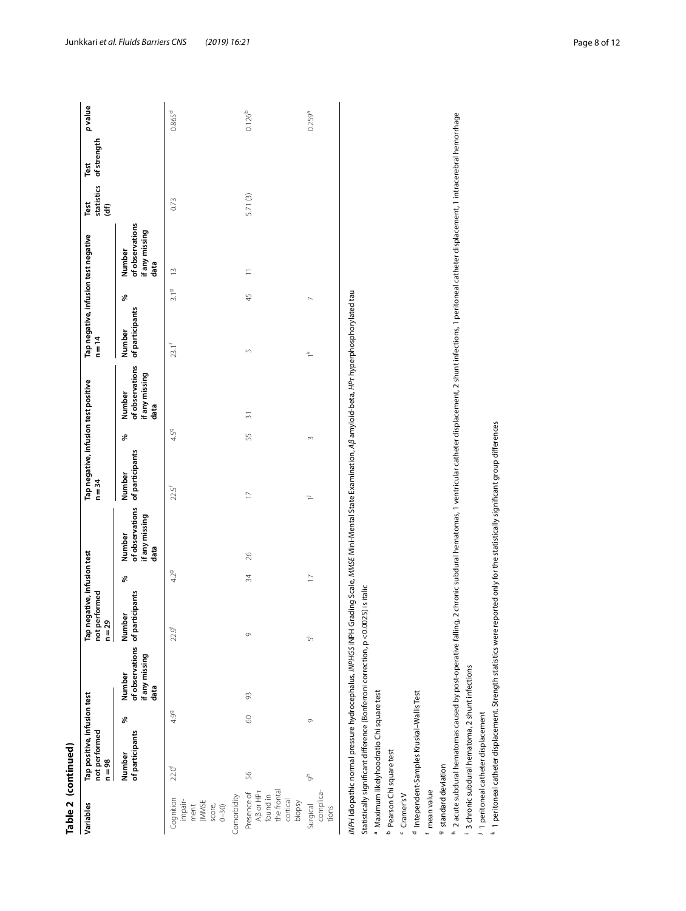| ٦ |
|---|
|   |
|   |
|   |
|   |
|   |
|   |
|   |
|   |
|   |
|   |
|   |
|   |
|   |
| г |
|   |
|   |
|   |
|   |
|   |
|   |

| Variables                                                                                         | Tap positive, infusion test<br>not performed<br>$n=98$ |         |                                  | Tap negative, infusion test<br>not performed<br>$n = 29$ |                 |                                                     | Tap negative, infusion test positive<br>$n = 34$ |      |                                                     | Tap negative, infusion test negative<br>$n = 14$ |        |                                                     | statistics<br>Test<br>$\widehat{\mathbf{f}}$ | of strength<br>Test | pvalue             |
|---------------------------------------------------------------------------------------------------|--------------------------------------------------------|---------|----------------------------------|----------------------------------------------------------|-----------------|-----------------------------------------------------|--------------------------------------------------|------|-----------------------------------------------------|--------------------------------------------------|--------|-----------------------------------------------------|----------------------------------------------|---------------------|--------------------|
|                                                                                                   | of participants<br>Number                              | ४       | if any missing<br>Number<br>data | of observations of participants<br>Numbe                 | శ               | of observations<br>if any missing<br>Number<br>data | of participants<br>Number                        | ್ಲೇ  | of observations<br>if any missing<br>Number<br>data | of participants<br>Number                        | శ      | of observations<br>if any missing<br>Number<br>data |                                              |                     |                    |
| Cognition<br>impair-<br>ment<br>(MMSE<br>score,<br>0-30)                                          | $22.0^{f}$                                             | 4.99    |                                  | 22.9 <sup>f</sup>                                        | 4.29            |                                                     | 22.5 <sup>f</sup>                                | 4.59 |                                                     | $23.1^{f}$                                       | 3.19   | $\frac{3}{2}$                                       | 0.73                                         |                     | $0.865^d$          |
| Comorbidity                                                                                       |                                                        |         |                                  |                                                          |                 |                                                     |                                                  |      |                                                     |                                                  |        |                                                     |                                              |                     |                    |
| the frontal<br>A <sub>B</sub> or HP <sub>T</sub><br>Presence of<br>found in<br>cortical<br>biopsy | 56                                                     | $\circ$ | 93                               | 0                                                        | $\overline{34}$ | 26                                                  | $\overline{17}$                                  | 55   | $\overline{31}$                                     | Б                                                | 45     | $\equiv$                                            | 5.71(3)                                      |                     | $0.126^{b}$        |
| complica-<br>Surgical<br>tions                                                                    | $\epsilon$                                             | 9       |                                  | īη                                                       | $\overline{1}$  |                                                     | P                                                | 3    |                                                     | $\stackrel{\times}{\cdot}$                       | $\sim$ |                                                     |                                              |                     | 0.259 <sup>a</sup> |

<sup>b</sup> Pearson Chi square test

<sup>c</sup> Cramer's V

<sup>d</sup> Intependent-Samples Kruskal-Wallis Test

f mean value

9 standard deviation

<sup>h</sup> 2 acute subdural hematomas caused by post-operative falling, 2 chronic subdural hematomas, 1 ventricular catheter displacement, 2 shunt infections, 1 peritoneal catheter displacement, 1 intracerebral hemorrhage " Maximum likelyhoodratio Chi square test<br>" Pearson Chi square test<br>" reaprodent-Samples Kruskal-Wallis Test<br>" a sandard deviation<br>" a sacute subdural hematomas caused by post-operative falling, 2 chronic subdural hematoma

<sup>1</sup> 3 chronic subdural hematoma, 2 shunt infections <sup>j</sup> 1 peritoneal catheter displacement

k 1 peritoneal catheter displacement. Strength statistics were reported only for the statistically significant group differences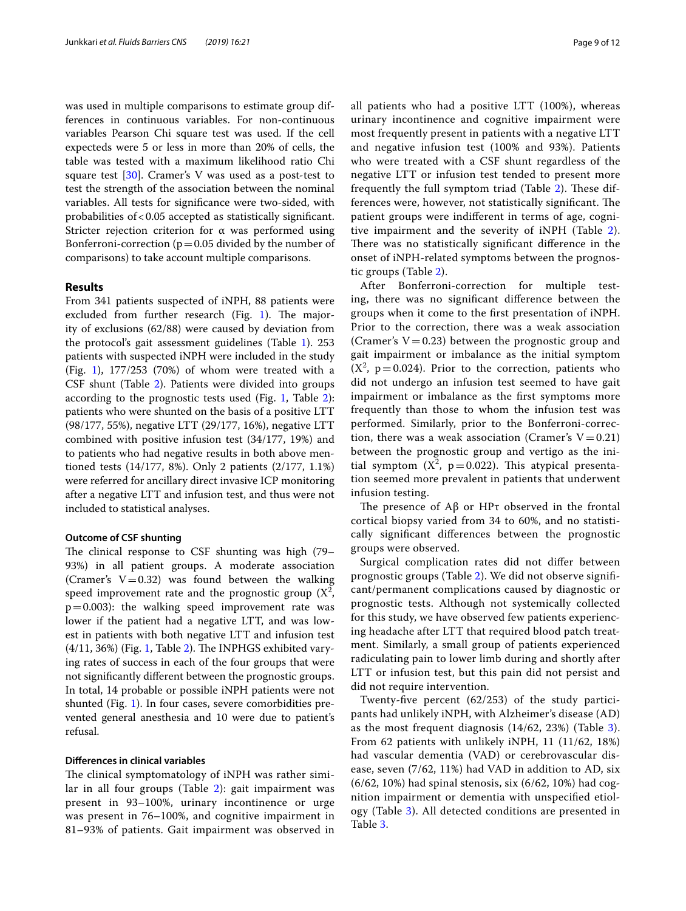was used in multiple comparisons to estimate group differences in continuous variables. For non-continuous variables Pearson Chi square test was used. If the cell expecteds were 5 or less in more than 20% of cells, the table was tested with a maximum likelihood ratio Chi square test  $[30]$  $[30]$ . Cramer's V was used as a post-test to test the strength of the association between the nominal variables. All tests for signifcance were two-sided, with probabilities of<0.05 accepted as statistically signifcant. Stricter rejection criterion for  $\alpha$  was performed using Bonferroni-correction ( $p=0.05$  divided by the number of comparisons) to take account multiple comparisons.

#### **Results**

From 341 patients suspected of iNPH, 88 patients were excluded from further research (Fig.  $1$ ). The majority of exclusions (62/88) were caused by deviation from the protocol's gait assessment guidelines (Table [1](#page-3-0)). 253 patients with suspected iNPH were included in the study (Fig. [1\)](#page-2-0), 177/253 (70%) of whom were treated with a CSF shunt (Table [2\)](#page-5-0). Patients were divided into groups according to the prognostic tests used (Fig. [1](#page-2-0), Table [2](#page-5-0)): patients who were shunted on the basis of a positive LTT (98/177, 55%), negative LTT (29/177, 16%), negative LTT combined with positive infusion test (34/177, 19%) and to patients who had negative results in both above mentioned tests (14/177, 8%). Only 2 patients (2/177, 1.1%) were referred for ancillary direct invasive ICP monitoring after a negative LTT and infusion test, and thus were not included to statistical analyses.

#### **Outcome of CSF shunting**

The clinical response to CSF shunting was high (79– 93%) in all patient groups. A moderate association (Cramer's  $V=0.32$ ) was found between the walking speed improvement rate and the prognostic group  $(X^2)$ ,  $p=0.003$ : the walking speed improvement rate was lower if the patient had a negative LTT, and was lowest in patients with both negative LTT and infusion test  $(4/11, 36%)$  (Fig. [1](#page-2-0), Table [2](#page-5-0)). The INPHGS exhibited varying rates of success in each of the four groups that were not signifcantly diferent between the prognostic groups. In total, 14 probable or possible iNPH patients were not shunted (Fig. [1](#page-2-0)). In four cases, severe comorbidities prevented general anesthesia and 10 were due to patient's refusal.

#### **Diferences in clinical variables**

The clinical symptomatology of iNPH was rather simi-lar in all four groups (Table [2\)](#page-5-0): gait impairment was present in 93–100%, urinary incontinence or urge was present in 76–100%, and cognitive impairment in 81–93% of patients. Gait impairment was observed in all patients who had a positive LTT (100%), whereas urinary incontinence and cognitive impairment were most frequently present in patients with a negative LTT and negative infusion test (100% and 93%). Patients who were treated with a CSF shunt regardless of the negative LTT or infusion test tended to present more frequently the full symptom triad (Table [2\)](#page-5-0). These differences were, however, not statistically significant. The patient groups were indiferent in terms of age, cognitive impairment and the severity of iNPH (Table [2](#page-5-0)). There was no statistically significant difference in the onset of iNPH-related symptoms between the prognostic groups (Table [2](#page-5-0)).

After Bonferroni-correction for multiple testing, there was no signifcant diference between the groups when it come to the frst presentation of iNPH. Prior to the correction, there was a weak association (Cramer's  $V=0.23$ ) between the prognostic group and gait impairment or imbalance as the initial symptom  $(X^2, p=0.024)$ . Prior to the correction, patients who did not undergo an infusion test seemed to have gait impairment or imbalance as the frst symptoms more frequently than those to whom the infusion test was performed. Similarly, prior to the Bonferroni-correction, there was a weak association (Cramer's  $V=0.21$ ) between the prognostic group and vertigo as the initial symptom  $(X^2, p=0.022)$ . This atypical presentation seemed more prevalent in patients that underwent infusion testing.

The presence of  $\mathsf{A}\beta$  or  $\mathsf{HP}\tau$  observed in the frontal cortical biopsy varied from 34 to 60%, and no statistically signifcant diferences between the prognostic groups were observed.

Surgical complication rates did not difer between prognostic groups (Table [2](#page-5-0)). We did not observe signifcant/permanent complications caused by diagnostic or prognostic tests. Although not systemically collected for this study, we have observed few patients experiencing headache after LTT that required blood patch treatment. Similarly, a small group of patients experienced radiculating pain to lower limb during and shortly after LTT or infusion test, but this pain did not persist and did not require intervention.

Twenty-fve percent (62/253) of the study participants had unlikely iNPH, with Alzheimer's disease (AD) as the most frequent diagnosis (14/62, 23%) (Table [3](#page-9-0)). From 62 patients with unlikely iNPH, 11 (11/62, 18%) had vascular dementia (VAD) or cerebrovascular disease, seven (7/62, 11%) had VAD in addition to AD, six (6/62, 10%) had spinal stenosis, six (6/62, 10%) had cognition impairment or dementia with unspecifed etiology (Table [3\)](#page-9-0). All detected conditions are presented in Table [3](#page-9-0).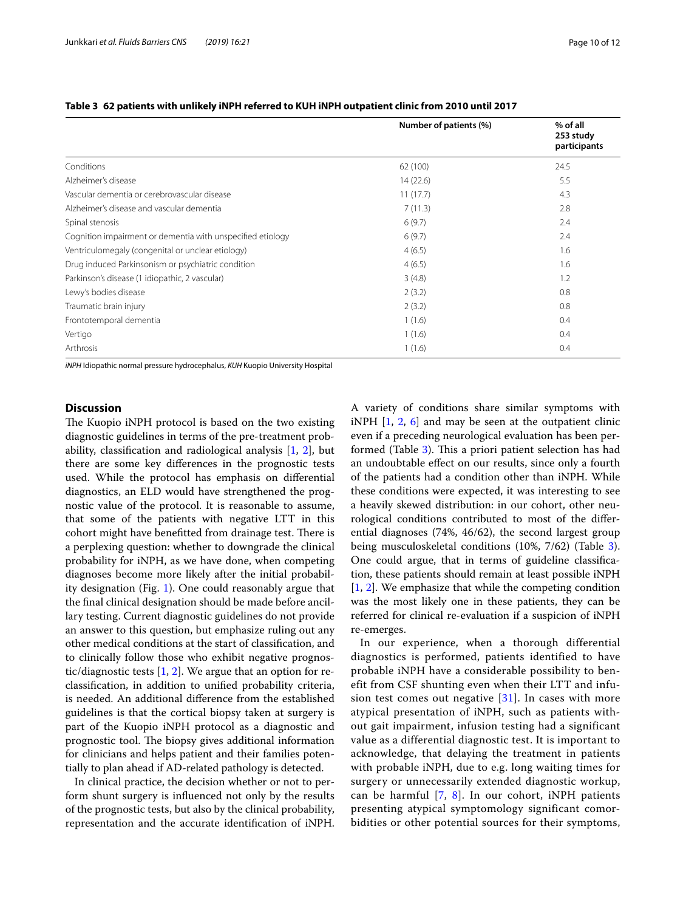|                                                            | Number of patients (%) | % of all<br>253 study<br>participants |
|------------------------------------------------------------|------------------------|---------------------------------------|
| Conditions                                                 | 62 (100)               | 24.5                                  |
| Alzheimer's disease                                        | 14(22.6)               | 5.5                                   |
| Vascular dementia or cerebrovascular disease               | 11(17.7)               | 4.3                                   |
| Alzheimer's disease and vascular dementia                  | 7(11.3)                | 2.8                                   |
| Spinal stenosis                                            | 6(9.7)                 | 2.4                                   |
| Cognition impairment or dementia with unspecified etiology | 6(9.7)                 | 2.4                                   |
| Ventriculomegaly (congenital or unclear etiology)          | 4(6.5)                 | 1.6                                   |
| Drug induced Parkinsonism or psychiatric condition         | 4(6.5)                 | 1.6                                   |
| Parkinson's disease (1 idiopathic, 2 vascular)             | 3(4.8)                 | 1.2                                   |
| Lewy's bodies disease                                      | 2(3.2)                 | 0.8                                   |
| Traumatic brain injury                                     | 2(3.2)                 | 0.8                                   |
| Frontotemporal dementia                                    | 1(1.6)                 | 0.4                                   |
| Vertigo                                                    | 1(1.6)                 | 0.4                                   |
| Arthrosis                                                  | 1(1.6)                 | 0.4                                   |

#### <span id="page-9-0"></span>**Table 3 62 patients with unlikely iNPH referred to KUH iNPH outpatient clinic from 2010 until 2017**

*iNPH* Idiopathic normal pressure hydrocephalus, *KUH* Kuopio University Hospital

#### **Discussion**

The Kuopio iNPH protocol is based on the two existing diagnostic guidelines in terms of the pre-treatment probability, classifcation and radiological analysis [\[1](#page-11-0), [2\]](#page-11-1), but there are some key diferences in the prognostic tests used. While the protocol has emphasis on diferential diagnostics, an ELD would have strengthened the prognostic value of the protocol. It is reasonable to assume, that some of the patients with negative LTT in this cohort might have benefitted from drainage test. There is a perplexing question: whether to downgrade the clinical probability for iNPH, as we have done, when competing diagnoses become more likely after the initial probability designation (Fig. [1\)](#page-2-0). One could reasonably argue that the fnal clinical designation should be made before ancillary testing. Current diagnostic guidelines do not provide an answer to this question, but emphasize ruling out any other medical conditions at the start of classifcation, and to clinically follow those who exhibit negative prognostic/diagnostic tests [[1,](#page-11-0) [2](#page-11-1)]. We argue that an option for reclassifcation, in addition to unifed probability criteria, is needed. An additional diference from the established guidelines is that the cortical biopsy taken at surgery is part of the Kuopio iNPH protocol as a diagnostic and prognostic tool. The biopsy gives additional information for clinicians and helps patient and their families potentially to plan ahead if AD-related pathology is detected.

In clinical practice, the decision whether or not to perform shunt surgery is infuenced not only by the results of the prognostic tests, but also by the clinical probability, representation and the accurate identifcation of iNPH. A variety of conditions share similar symptoms with iNPH [[1,](#page-11-0) [2](#page-11-1), [6](#page-11-5)] and may be seen at the outpatient clinic even if a preceding neurological evaluation has been per-formed (Table [3\)](#page-9-0). This a priori patient selection has had an undoubtable efect on our results, since only a fourth of the patients had a condition other than iNPH. While these conditions were expected, it was interesting to see a heavily skewed distribution: in our cohort, other neurological conditions contributed to most of the diferential diagnoses (74%, 46/62), the second largest group being musculoskeletal conditions (10%, 7/62) (Table [3](#page-9-0)). One could argue, that in terms of guideline classifcation, these patients should remain at least possible iNPH [[1,](#page-11-0) [2\]](#page-11-1). We emphasize that while the competing condition was the most likely one in these patients, they can be referred for clinical re-evaluation if a suspicion of iNPH re-emerges.

In our experience, when a thorough differential diagnostics is performed, patients identified to have probable iNPH have a considerable possibility to benefit from CSF shunting even when their LTT and infusion test comes out negative  $[31]$  $[31]$  $[31]$ . In cases with more atypical presentation of iNPH, such as patients without gait impairment, infusion testing had a significant value as a differential diagnostic test. It is important to acknowledge, that delaying the treatment in patients with probable iNPH, due to e.g. long waiting times for surgery or unnecessarily extended diagnostic workup, can be harmful  $[7, 8]$  $[7, 8]$  $[7, 8]$  $[7, 8]$ . In our cohort, iNPH patients presenting atypical symptomology significant comorbidities or other potential sources for their symptoms,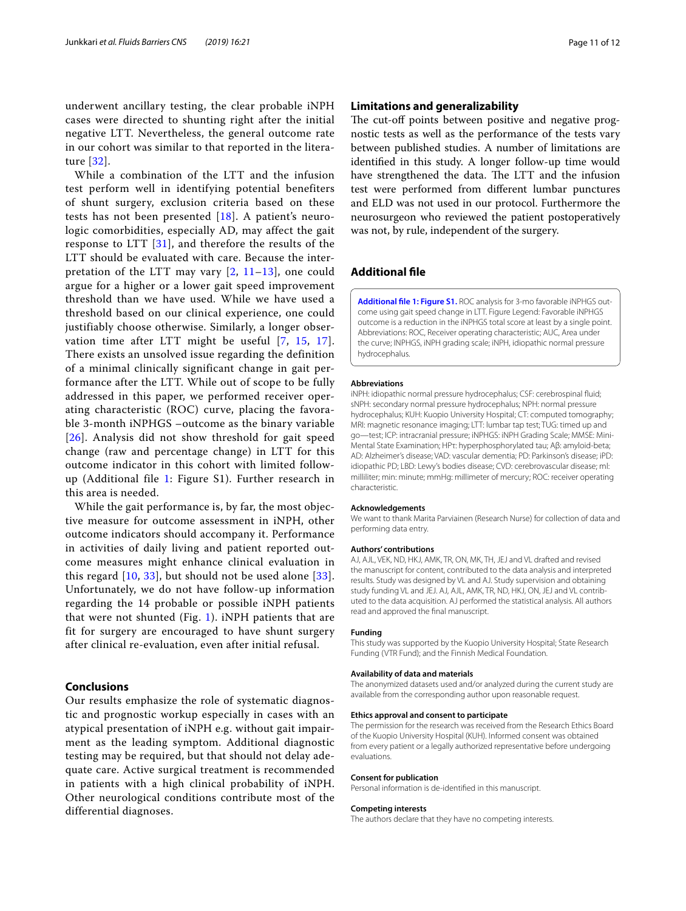underwent ancillary testing, the clear probable iNPH cases were directed to shunting right after the initial negative LTT. Nevertheless, the general outcome rate in our cohort was similar to that reported in the literature [[32](#page-11-31)].

While a combination of the LTT and the infusion test perform well in identifying potential benefiters of shunt surgery, exclusion criteria based on these tests has not been presented  $[18]$  $[18]$  $[18]$ . A patient's neurologic comorbidities, especially AD, may affect the gait response to LTT [\[31\]](#page-11-30), and therefore the results of the LTT should be evaluated with care. Because the interpretation of the LTT may vary  $[2, 11-13]$  $[2, 11-13]$  $[2, 11-13]$  $[2, 11-13]$  $[2, 11-13]$  $[2, 11-13]$ , one could argue for a higher or a lower gait speed improvement threshold than we have used. While we have used a threshold based on our clinical experience, one could justifiably choose otherwise. Similarly, a longer observation time after LTT might be useful [[7,](#page-11-6) [15,](#page-11-13) [17\]](#page-11-15). There exists an unsolved issue regarding the definition of a minimal clinically significant change in gait performance after the LTT. While out of scope to be fully addressed in this paper, we performed receiver operating characteristic (ROC) curve, placing the favorable 3-month iNPHGS –outcome as the binary variable [[26](#page-11-25)]. Analysis did not show threshold for gait speed change (raw and percentage change) in LTT for this outcome indicator in this cohort with limited followup (Additional file [1:](#page-10-0) Figure S1). Further research in this area is needed.

While the gait performance is, by far, the most objective measure for outcome assessment in iNPH, other outcome indicators should accompany it. Performance in activities of daily living and patient reported outcome measures might enhance clinical evaluation in this regard  $[10, 33]$  $[10, 33]$  $[10, 33]$ , but should not be used alone  $[33]$ . Unfortunately, we do not have follow-up information regarding the 14 probable or possible iNPH patients that were not shunted (Fig. [1](#page-2-0)). iNPH patients that are fit for surgery are encouraged to have shunt surgery after clinical re-evaluation, even after initial refusal.

#### **Conclusions**

Our results emphasize the role of systematic diagnostic and prognostic workup especially in cases with an atypical presentation of iNPH e.g. without gait impairment as the leading symptom. Additional diagnostic testing may be required, but that should not delay adequate care. Active surgical treatment is recommended in patients with a high clinical probability of iNPH. Other neurological conditions contribute most of the differential diagnoses.

#### **Limitations and generalizability**

The cut-off points between positive and negative prognostic tests as well as the performance of the tests vary between published studies. A number of limitations are identifed in this study. A longer follow-up time would have strengthened the data. The LTT and the infusion test were performed from diferent lumbar punctures and ELD was not used in our protocol. Furthermore the neurosurgeon who reviewed the patient postoperatively was not, by rule, independent of the surgery.

#### **Additional fle**

<span id="page-10-0"></span>**[Additional fle 1: Figure S1.](https://doi.org/10.1186/s12987-019-0142-9)** ROC analysis for 3-mo favorable iNPHGS outcome using gait speed change in LTT. Figure Legend: Favorable iNPHGS outcome is a reduction in the iNPHGS total score at least by a single point. Abbreviations: ROC, Receiver operating characteristic; AUC, Area under the curve; INPHGS, iNPH grading scale; iNPH, idiopathic normal pressure hydrocephalus.

#### **Abbreviations**

iNPH: idiopathic normal pressure hydrocephalus; CSF: cerebrospinal fuid; sNPH: secondary normal pressure hydrocephalus; NPH: normal pressure hydrocephalus; KUH: Kuopio University Hospital; CT: computed tomography; MRI: magnetic resonance imaging; LTT: lumbar tap test; TUG: timed up and go—test; ICP: intracranial pressure; iNPHGS: iNPH Grading Scale; MMSE: Mini-Mental State Examination; HPτ: hyperphosphorylated tau; Aβ: amyloid-beta; AD: Alzheimer's disease; VAD: vascular dementia; PD: Parkinson's disease; iPD: idiopathic PD; LBD: Lewy's bodies disease; CVD: cerebrovascular disease; ml: milliliter; min: minute; mmHg: millimeter of mercury; ROC: receiver operating characteristic.

#### **Acknowledgements**

We want to thank Marita Parviainen (Research Nurse) for collection of data and performing data entry.

#### **Authors' contributions**

AJ, AJL, VEK, ND, HKJ, AMK, TR, ON, MK, TH, JEJ and VL drafted and revised the manuscript for content, contributed to the data analysis and interpreted results. Study was designed by VL and AJ. Study supervision and obtaining study funding VL and JEJ. AJ, AJL, AMK, TR, ND, HKJ, ON, JEJ and VL contributed to the data acquisition. AJ performed the statistical analysis. All authors read and approved the fnal manuscript.

#### **Funding**

This study was supported by the Kuopio University Hospital; State Research Funding (VTR Fund); and the Finnish Medical Foundation.

#### **Availability of data and materials**

The anonymized datasets used and/or analyzed during the current study are available from the corresponding author upon reasonable request.

#### **Ethics approval and consent to participate**

The permission for the research was received from the Research Ethics Board of the Kuopio University Hospital (KUH). Informed consent was obtained from every patient or a legally authorized representative before undergoing evaluations.

#### **Consent for publication**

Personal information is de-identifed in this manuscript.

#### **Competing interests**

The authors declare that they have no competing interests.